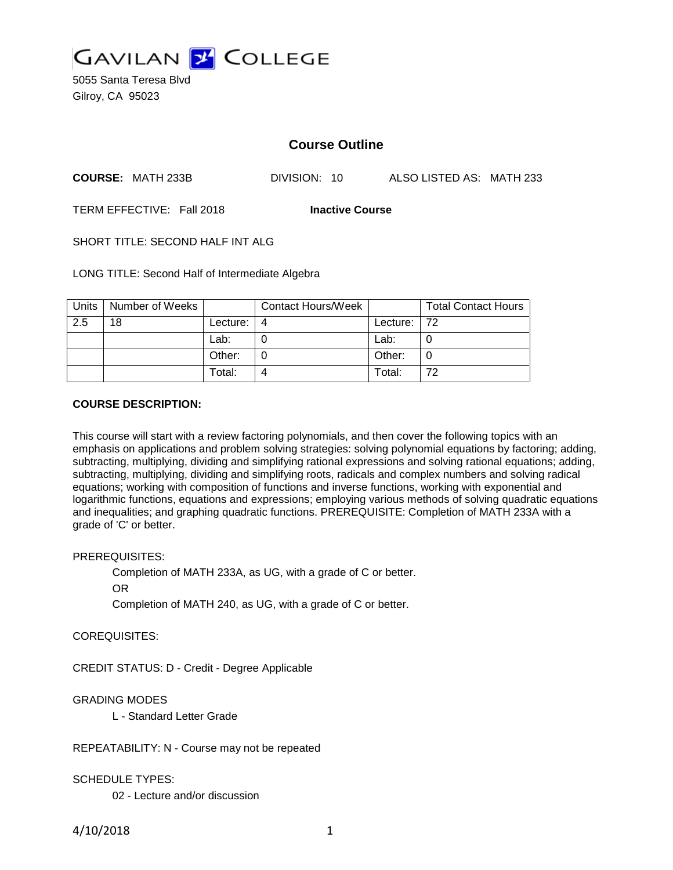

5055 Santa Teresa Blvd Gilroy, CA 95023

# **Course Outline**

**COURSE:** MATH 233B DIVISION: 10 ALSO LISTED AS: MATH 233

TERM EFFECTIVE: Fall 2018 **Inactive Course**

SHORT TITLE: SECOND HALF INT ALG

LONG TITLE: Second Half of Intermediate Algebra

| Units | Number of Weeks |          | <b>Contact Hours/Week</b> |             | <b>Total Contact Hours</b> |
|-------|-----------------|----------|---------------------------|-------------|----------------------------|
| 2.5   | 18              | Lecture: | 4                         | Lecture: 72 |                            |
|       |                 | Lab:     |                           | Lab:        |                            |
|       |                 | Other:   |                           | Other:      | 0                          |
|       |                 | Total:   |                           | Total:      | 72                         |

## **COURSE DESCRIPTION:**

This course will start with a review factoring polynomials, and then cover the following topics with an emphasis on applications and problem solving strategies: solving polynomial equations by factoring; adding, subtracting, multiplying, dividing and simplifying rational expressions and solving rational equations; adding, subtracting, multiplying, dividing and simplifying roots, radicals and complex numbers and solving radical equations; working with composition of functions and inverse functions, working with exponential and logarithmic functions, equations and expressions; employing various methods of solving quadratic equations and inequalities; and graphing quadratic functions. PREREQUISITE: Completion of MATH 233A with a grade of 'C' or better.

# PREREQUISITES:

Completion of MATH 233A, as UG, with a grade of C or better.

OR

Completion of MATH 240, as UG, with a grade of C or better.

# COREQUISITES:

CREDIT STATUS: D - Credit - Degree Applicable

# GRADING MODES

L - Standard Letter Grade

REPEATABILITY: N - Course may not be repeated

#### SCHEDULE TYPES:

02 - Lecture and/or discussion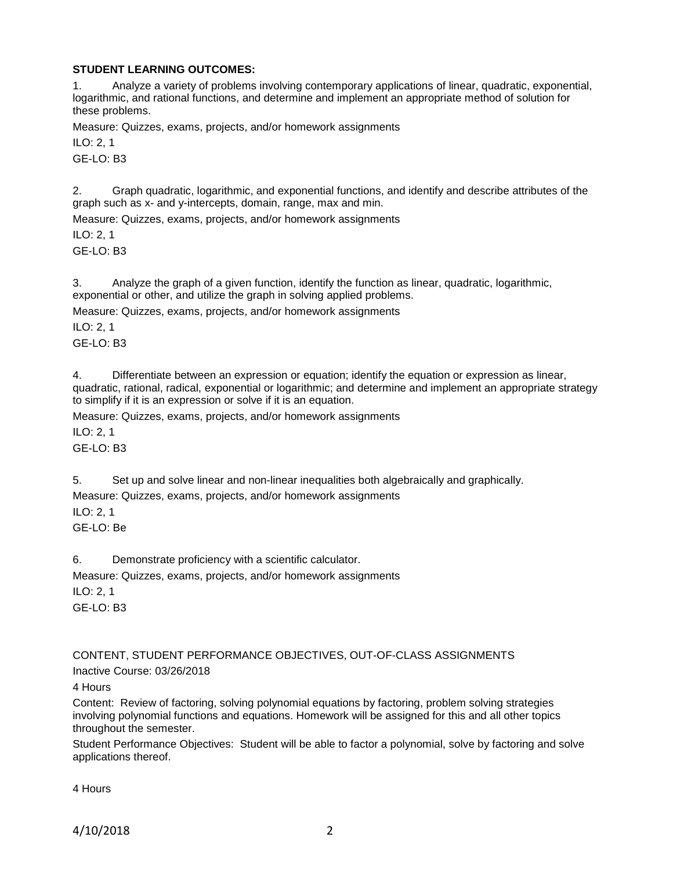# **STUDENT LEARNING OUTCOMES:**

1. Analyze a variety of problems involving contemporary applications of linear, quadratic, exponential, logarithmic, and rational functions, and determine and implement an appropriate method of solution for these problems.

Measure: Quizzes, exams, projects, and/or homework assignments

ILO: 2, 1

GE-LO: B3

2. Graph quadratic, logarithmic, and exponential functions, and identify and describe attributes of the graph such as x- and y-intercepts, domain, range, max and min.

Measure: Quizzes, exams, projects, and/or homework assignments

ILO: 2, 1  $GF-I O. B3$ 

3. Analyze the graph of a given function, identify the function as linear, quadratic, logarithmic, exponential or other, and utilize the graph in solving applied problems.

Measure: Quizzes, exams, projects, and/or homework assignments

ILO: 2, 1

 $GF-I O<sup>+</sup> B3$ 

4. Differentiate between an expression or equation; identify the equation or expression as linear, quadratic, rational, radical, exponential or logarithmic; and determine and implement an appropriate strategy to simplify if it is an expression or solve if it is an equation.

Measure: Quizzes, exams, projects, and/or homework assignments

ILO: 2, 1

GE-LO: B3

5. Set up and solve linear and non-linear inequalities both algebraically and graphically.

Measure: Quizzes, exams, projects, and/or homework assignments

ILO: 2, 1

GE-LO: Be

6. Demonstrate proficiency with a scientific calculator.

Measure: Quizzes, exams, projects, and/or homework assignments

ILO: 2, 1 GE-LO: B3

CONTENT, STUDENT PERFORMANCE OBJECTIVES, OUT-OF-CLASS ASSIGNMENTS Inactive Course: 03/26/2018

4 Hours

Content: Review of factoring, solving polynomial equations by factoring, problem solving strategies involving polynomial functions and equations. Homework will be assigned for this and all other topics throughout the semester.

Student Performance Objectives: Student will be able to factor a polynomial, solve by factoring and solve applications thereof.

4 Hours

4/10/2018 2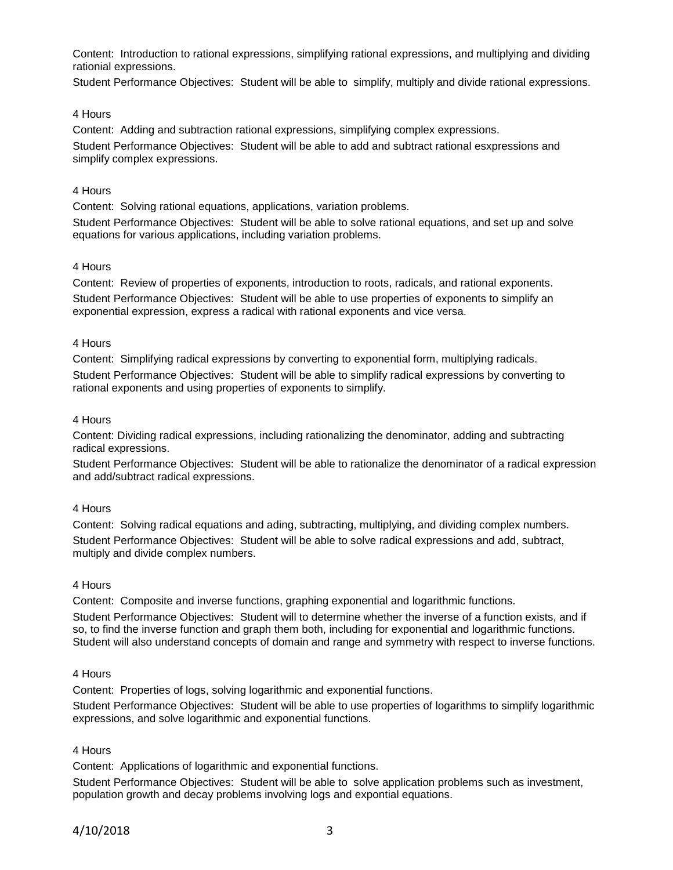Content: Introduction to rational expressions, simplifying rational expressions, and multiplying and dividing rationial expressions.

Student Performance Objectives: Student will be able to simplify, multiply and divide rational expressions.

## 4 Hours

Content: Adding and subtraction rational expressions, simplifying complex expressions. Student Performance Objectives: Student will be able to add and subtract rational esxpressions and simplify complex expressions.

## 4 Hours

Content: Solving rational equations, applications, variation problems.

Student Performance Objectives: Student will be able to solve rational equations, and set up and solve equations for various applications, including variation problems.

## 4 Hours

Content: Review of properties of exponents, introduction to roots, radicals, and rational exponents. Student Performance Objectives: Student will be able to use properties of exponents to simplify an exponential expression, express a radical with rational exponents and vice versa.

## 4 Hours

Content: Simplifying radical expressions by converting to exponential form, multiplying radicals. Student Performance Objectives: Student will be able to simplify radical expressions by converting to rational exponents and using properties of exponents to simplify.

## 4 Hours

Content: Dividing radical expressions, including rationalizing the denominator, adding and subtracting radical expressions.

Student Performance Objectives: Student will be able to rationalize the denominator of a radical expression and add/subtract radical expressions.

#### 4 Hours

Content: Solving radical equations and ading, subtracting, multiplying, and dividing complex numbers.

Student Performance Objectives: Student will be able to solve radical expressions and add, subtract, multiply and divide complex numbers.

#### 4 Hours

Content: Composite and inverse functions, graphing exponential and logarithmic functions. Student Performance Objectives: Student will to determine whether the inverse of a function exists, and if so, to find the inverse function and graph them both, including for exponential and logarithmic functions. Student will also understand concepts of domain and range and symmetry with respect to inverse functions.

# 4 Hours

Content: Properties of logs, solving logarithmic and exponential functions.

Student Performance Objectives: Student will be able to use properties of logarithms to simplify logarithmic expressions, and solve logarithmic and exponential functions.

# 4 Hours

Content: Applications of logarithmic and exponential functions.

Student Performance Objectives: Student will be able to solve application problems such as investment, population growth and decay problems involving logs and expontial equations.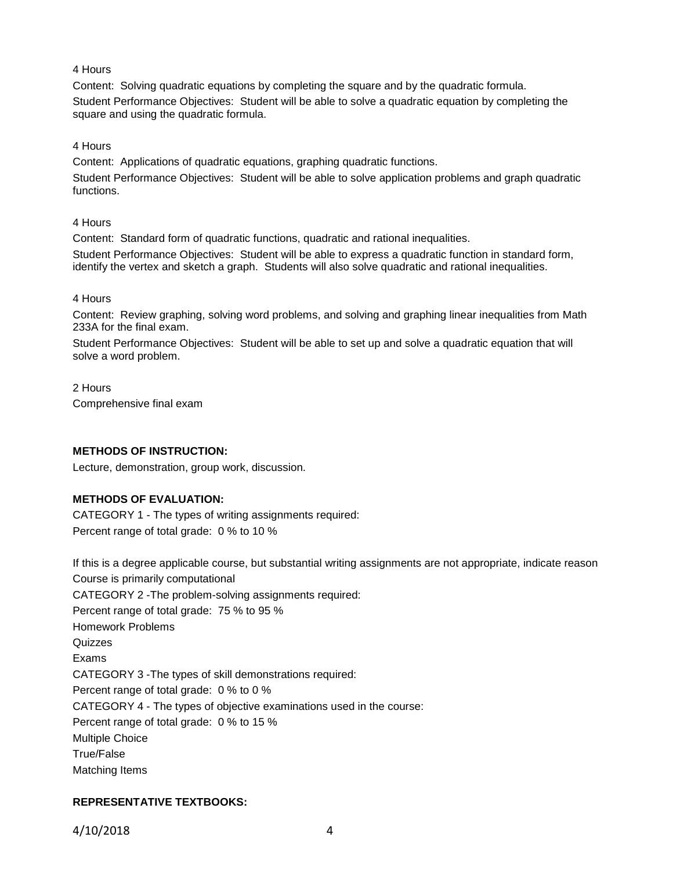# 4 Hours

Content: Solving quadratic equations by completing the square and by the quadratic formula. Student Performance Objectives: Student will be able to solve a quadratic equation by completing the square and using the quadratic formula.

4 Hours

Content: Applications of quadratic equations, graphing quadratic functions.

Student Performance Objectives: Student will be able to solve application problems and graph quadratic functions.

4 Hours

Content: Standard form of quadratic functions, quadratic and rational inequalities.

Student Performance Objectives: Student will be able to express a quadratic function in standard form, identify the vertex and sketch a graph. Students will also solve quadratic and rational inequalities.

# 4 Hours

Content: Review graphing, solving word problems, and solving and graphing linear inequalities from Math 233A for the final exam.

Student Performance Objectives: Student will be able to set up and solve a quadratic equation that will solve a word problem.

2 Hours Comprehensive final exam

# **METHODS OF INSTRUCTION:**

Lecture, demonstration, group work, discussion.

# **METHODS OF EVALUATION:**

CATEGORY 1 - The types of writing assignments required: Percent range of total grade: 0 % to 10 %

If this is a degree applicable course, but substantial writing assignments are not appropriate, indicate reason Course is primarily computational CATEGORY 2 -The problem-solving assignments required: Percent range of total grade: 75 % to 95 % Homework Problems Quizzes Exams CATEGORY 3 -The types of skill demonstrations required: Percent range of total grade: 0 % to 0 % CATEGORY 4 - The types of objective examinations used in the course: Percent range of total grade: 0 % to 15 % Multiple Choice True/False Matching Items

# **REPRESENTATIVE TEXTBOOKS:**